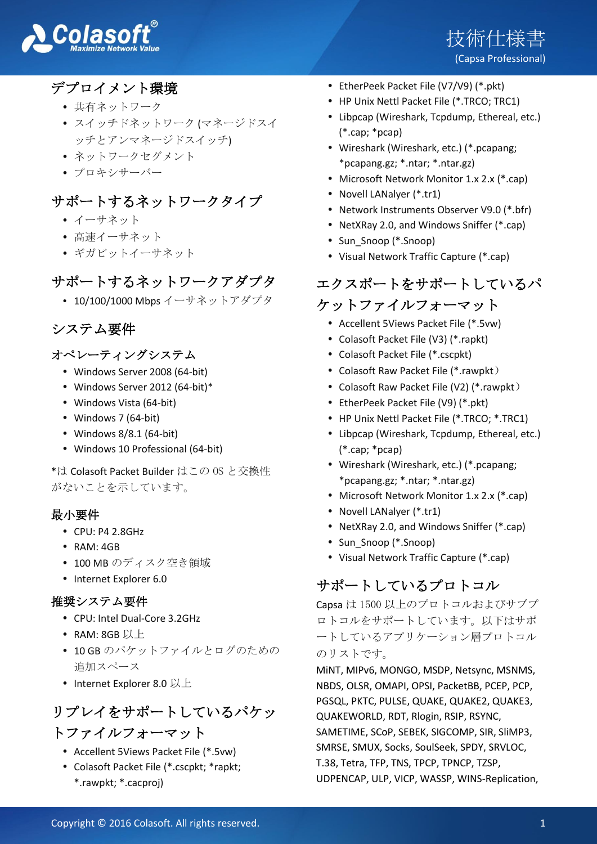



## デプロイメント環境

- 共有ネットワーク
- スイッチドネットワーク (マネージドスイ ッチとアンマネージドスイッチ)
- ネットワークセグメント
- プロキシサーバー

### サポートするネットワークタイプ

- イーサネット
- 高速イーサネット
- ギガビットイーサネット

## サポートするネットワークアダプタ

10/100/1000 Mbps イーサネットアダプタ

### システム要件

#### オペレーティングシステム

- Windows Server 2008 (64-bit)
- Windows Server 2012 (64-bit)\*
- Windows Vista (64-bit)
- Windows 7 (64-bit)
- Windows 8/8.1 (64-bit)
- Windows 10 Professional (64-bit)

\*は Colasoft Packet Builder はこの OS と交換性 がないことを示しています。

#### 最小要件

- CPU: P4 2.8GHz
- RAM: 4GB
- 100 MB のディスク空き領域
- Internet Explorer 6.0

#### 推奨システム要件

- CPU: Intel Dual-Core 3.2GHz
- RAM: 8GB 以上
- 10 GB のパケットファイルとログのための 追加スペース
- Internet Explorer 8.0 以上

# リプレイをサポートしているパケッ トファイルフォーマット

- Accellent 5Views Packet File (\*.5vw)
- Colasoft Packet File (\*.cscpkt; \*rapkt; \*.rawpkt; \*.cacproj)
- EtherPeek Packet File (V7/V9) (\*.pkt)
- HP Unix Nettl Packet File (\*.TRCO; TRC1)
- Libpcap (Wireshark, Tcpdump, Ethereal, etc.) (\*.cap; \*pcap)
- Wireshark (Wireshark, etc.) (\*.pcapang; \*pcapang.gz; \*.ntar; \*.ntar.gz)
- Microsoft Network Monitor 1.x 2.x (\*.cap)
- Novell LANalyer (\*.tr1)
- Network Instruments Observer V9.0 (\*.bfr)
- NetXRay 2.0, and Windows Sniffer (\*.cap)
- Sun Snoop (\*.Snoop)
- Visual Network Traffic Capture (\*.cap)

# エクスポートをサポートしているパ

### ケットファイルフォーマット

- Accellent 5Views Packet File (\*.5vw)
- Colasoft Packet File (V3) (\*.rapkt)
- Colasoft Packet File (\*.cscpkt)
- Colasoft Raw Packet File (\*.rawpkt)
- Colasoft Raw Packet File (V2) (\*.rawpkt)
- EtherPeek Packet File (V9) (\*.pkt)
- HP Unix Nettl Packet File (\*.TRCO; \*.TRC1)
- Libpcap (Wireshark, Tcpdump, Ethereal, etc.) (\*.cap; \*pcap)
- Wireshark (Wireshark, etc.) (\*.pcapang; \*pcapang.gz; \*.ntar; \*.ntar.gz)
- Microsoft Network Monitor 1.x 2.x (\*.cap)
- Novell LANalver (\*.tr1)
- NetXRay 2.0, and Windows Sniffer (\*.cap)
- Sun Snoop (\*.Snoop)
- Visual Network Traffic Capture (\*.cap)

## サポートしているプロトコル

Capsa は 1500 以上のプロトコルおよびサブプ ロトコルをサポートしています。以下はサポ ートしているアプリケーション層プロトコル のリストです。

MiNT, MIPv6, MONGO, MSDP, Netsync, MSNMS, NBDS, OLSR, OMAPI, OPSI, PacketBB, PCEP, PCP, PGSQL, PKTC, PULSE, QUAKE, QUAKE2, QUAKE3, QUAKEWORLD, RDT, Rlogin, RSIP, RSYNC, SAMETIME, SCoP, SEBEK, SIGCOMP, SIR, SliMP3, SMRSE, SMUX, Socks, SoulSeek, SPDY, SRVLOC, T.38, Tetra, TFP, TNS, TPCP, TPNCP, TZSP, UDPENCAP, ULP, VICP, WASSP, WINS-Replication,